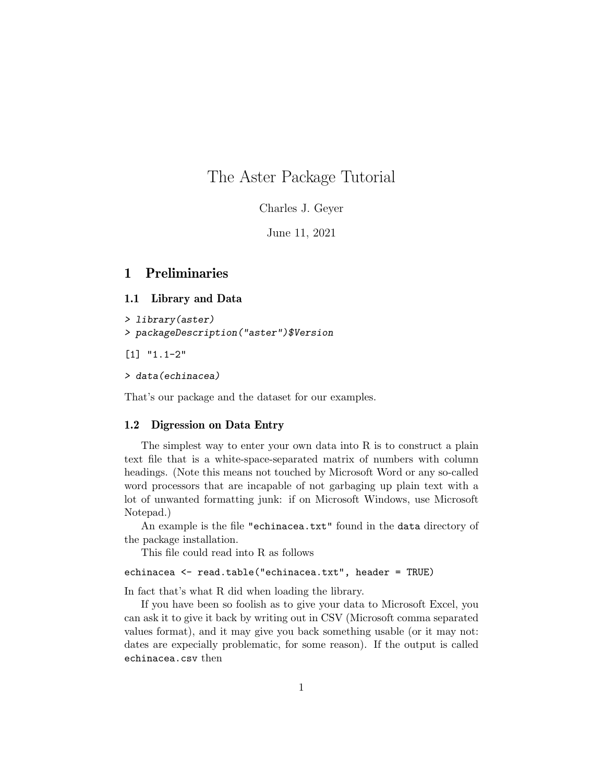# The Aster Package Tutorial

Charles J. Geyer

June 11, 2021

## 1 Preliminaries

### 1.1 Library and Data

> library(aster) > packageDescription("aster")\$Version

[1] "1.1-2"

> data(echinacea)

That's our package and the dataset for our examples.

#### 1.2 Digression on Data Entry

The simplest way to enter your own data into R is to construct a plain text file that is a white-space-separated matrix of numbers with column headings. (Note this means not touched by Microsoft Word or any so-called word processors that are incapable of not garbaging up plain text with a lot of unwanted formatting junk: if on Microsoft Windows, use Microsoft Notepad.)

An example is the file "echinacea.txt" found in the data directory of the package installation.

This file could read into R as follows

### echinacea <- read.table("echinacea.txt", header = TRUE)

In fact that's what R did when loading the library.

If you have been so foolish as to give your data to Microsoft Excel, you can ask it to give it back by writing out in CSV (Microsoft comma separated values format), and it may give you back something usable (or it may not: dates are expecially problematic, for some reason). If the output is called echinacea.csv then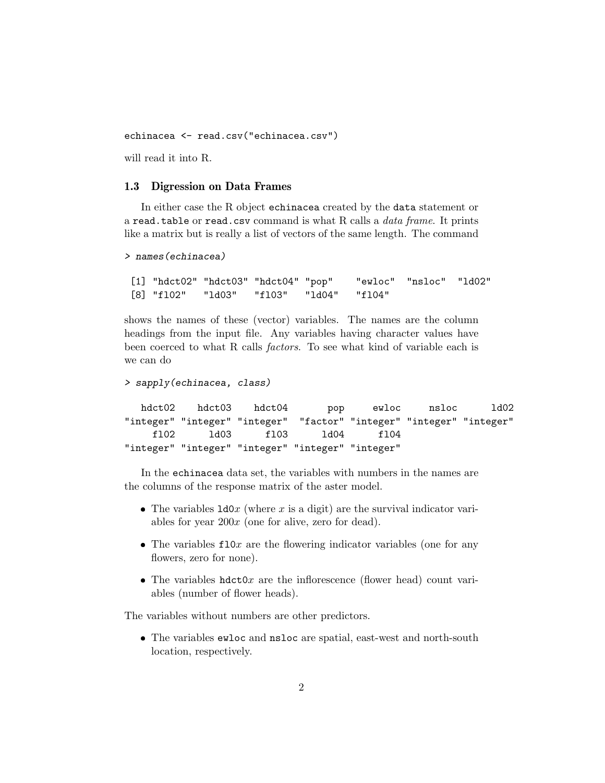echinacea <- read.csv("echinacea.csv")

will read it into R.

#### 1.3 Digression on Data Frames

In either case the R object echinacea created by the data statement or a read.table or read.csv command is what R calls a *data frame*. It prints like a matrix but is really a list of vectors of the same length. The command

```
> names(echinacea)
```

```
[1] "hdct02" "hdct03" "hdct04" "pop" "ewloc" "nsloc" "ld02"
[8] "fl02" "ld03" "fl03" "ld04" "fl04"
```
shows the names of these (vector) variables. The names are the column headings from the input file. Any variables having character values have been coerced to what R calls factors. To see what kind of variable each is we can do

```
> sapply(echinacea, class)
  hdct02 hdct03 hdct04 pop ewloc nsloc ld02
"integer" "integer" "integer" "factor" "integer" "integer" "integer"
    fl02 ld03 fl03 ld04 fl04
"integer" "integer" "integer" "integer" "integer"
```
In the echinacea data set, the variables with numbers in the names are the columns of the response matrix of the aster model.

- The variables  $1d0x$  (where x is a digit) are the survival indicator variables for year  $200x$  (one for alive, zero for dead).
- The variables  $f10x$  are the flowering indicator variables (one for any flowers, zero for none).
- The variables  $hdct0x$  are the inflorescence (flower head) count variables (number of flower heads).

The variables without numbers are other predictors.

 The variables ewloc and nsloc are spatial, east-west and north-south location, respectively.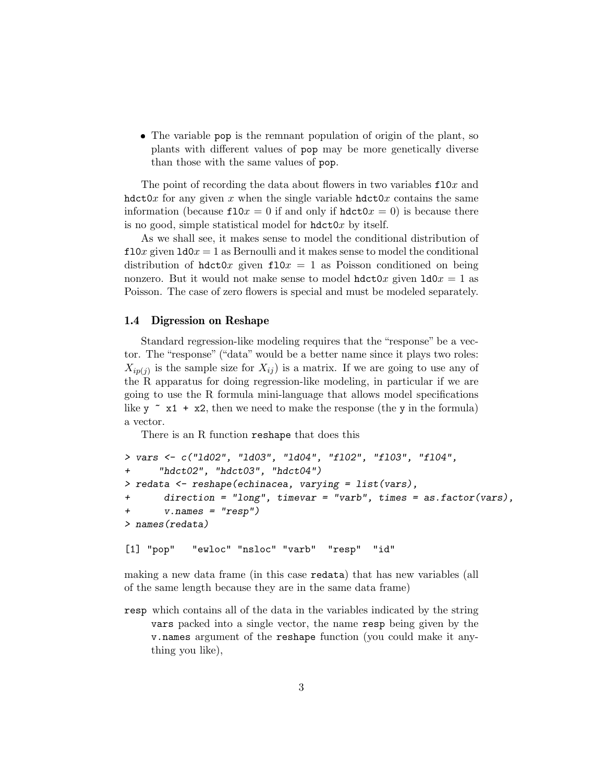The variable pop is the remnant population of origin of the plant, so plants with different values of pop may be more genetically diverse than those with the same values of pop.

The point of recording the data about flowers in two variables  $f10x$  and hdct0x for any given x when the single variable hdct0x contains the same information (because  $f10x = 0$  if and only if  $hdct0x = 0$ ) is because there is no good, simple statistical model for  $hdct0x$  by itself.

As we shall see, it makes sense to model the conditional distribution of  $f10x$  given  $1d0x = 1$  as Bernoulli and it makes sense to model the conditional distribution of hdct0x given  $f10x = 1$  as Poisson conditioned on being nonzero. But it would not make sense to model  $hat{v}x$  given  $ld{v}x = 1$  as Poisson. The case of zero flowers is special and must be modeled separately.

#### 1.4 Digression on Reshape

Standard regression-like modeling requires that the "response" be a vector. The "response" ("data" would be a better name since it plays two roles:  $X_{ip(j)}$  is the sample size for  $X_{ij}$  is a matrix. If we are going to use any of the R apparatus for doing regression-like modeling, in particular if we are going to use the R formula mini-language that allows model specifications like y  $\sim x1 + x2$ , then we need to make the response (the y in the formula) a vector.

There is an R function reshape that does this

```
> vars <- c("ld02", "ld03", "ld04", "fl02", "fl03", "fl04",
+ "hdct02", "hdct03", "hdct04")
> redata <- reshape(echinacea, varying = list(vars),
+ direction = "long", timevar = "varb", times = as.factor(vars),
+ v.names = "resp")
> names(redata)
```
[1] "pop" "ewloc" "nsloc" "varb" "resp" "id"

making a new data frame (in this case redata) that has new variables (all of the same length because they are in the same data frame)

resp which contains all of the data in the variables indicated by the string vars packed into a single vector, the name resp being given by the v.names argument of the reshape function (you could make it anything you like),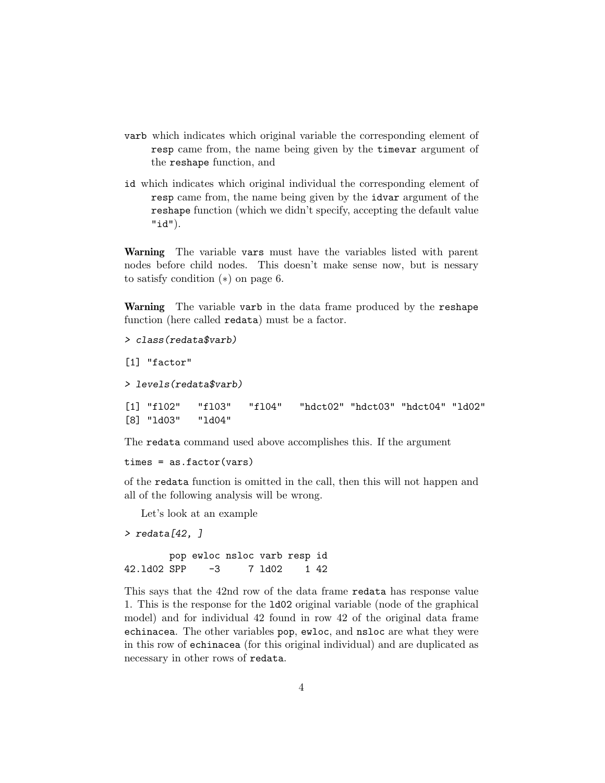- varb which indicates which original variable the corresponding element of resp came from, the name being given by the timevar argument of the reshape function, and
- id which indicates which original individual the corresponding element of resp came from, the name being given by the idvar argument of the reshape function (which we didn't specify, accepting the default value "id").

Warning The variable vars must have the variables listed with parent nodes before child nodes. This doesn't make sense now, but is nessary to satisfy condition (∗) on page 6.

Warning The variable varb in the data frame produced by the reshape function (here called redata) must be a factor.

```
> class(redata$varb)
[1] "factor"
> levels(redata$varb)
[1] "fl02" "fl03" "fl04" "hdct02" "hdct03" "hdct04" "ld02"
[8] "ld03" "ld04"
```
The redata command used above accomplishes this. If the argument

 $times = as.factor(vars)$ 

of the redata function is omitted in the call, then this will not happen and all of the following analysis will be wrong.

Let's look at an example

> redata[42, ]

pop ewloc nsloc varb resp id 42.ld02 SPP -3 7 ld02 1 42

This says that the 42nd row of the data frame redata has response value 1. This is the response for the ld02 original variable (node of the graphical model) and for individual 42 found in row 42 of the original data frame echinacea. The other variables pop, ewloc, and nsloc are what they were in this row of echinacea (for this original individual) and are duplicated as necessary in other rows of redata.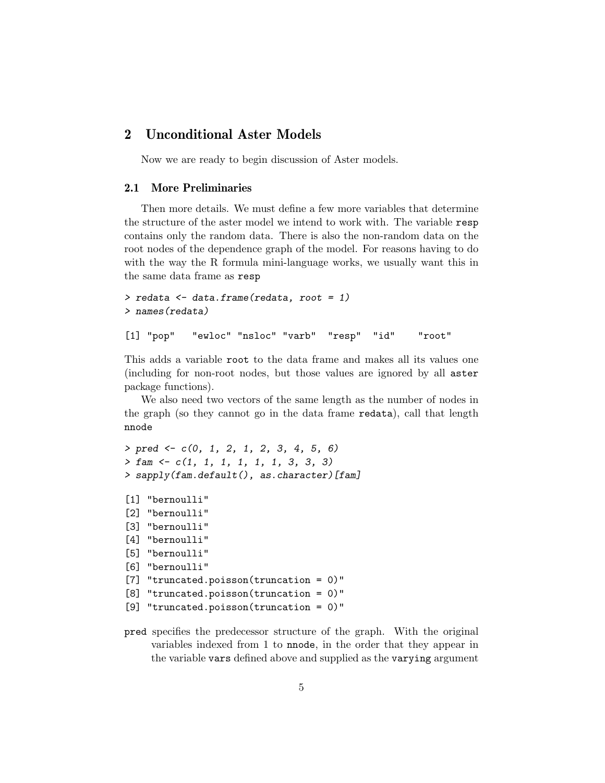## 2 Unconditional Aster Models

Now we are ready to begin discussion of Aster models.

#### 2.1 More Preliminaries

Then more details. We must define a few more variables that determine the structure of the aster model we intend to work with. The variable resp contains only the random data. There is also the non-random data on the root nodes of the dependence graph of the model. For reasons having to do with the way the R formula mini-language works, we usually want this in the same data frame as resp

```
> redata <- data.frame(redata, root = 1)
> names(redata)
[1] "pop" "ewloc" "nsloc" "varb" "resp" "id" "root"
```
This adds a variable root to the data frame and makes all its values one (including for non-root nodes, but those values are ignored by all aster package functions).

We also need two vectors of the same length as the number of nodes in the graph (so they cannot go in the data frame redata), call that length nnode

```
> pred < -c(0, 1, 2, 1, 2, 3, 4, 5, 6)> fam <- c(1, 1, 1, 1, 1, 1, 3, 3, 3)
> sapply(fam.default(), as.character)[fam]
[1] "bernoulli"
[2] "bernoulli"
[3] "bernoulli"
[4] "bernoulli"
```

```
[5] "bernoulli"
```

```
[6] "bernoulli"
```

```
[7] "truncated.poisson(truncation = 0)"
```
- [8] "truncated.poisson(truncation = 0)"
- [9] "truncated.poisson(truncation = 0)"
- pred specifies the predecessor structure of the graph. With the original variables indexed from 1 to nnode, in the order that they appear in the variable vars defined above and supplied as the varying argument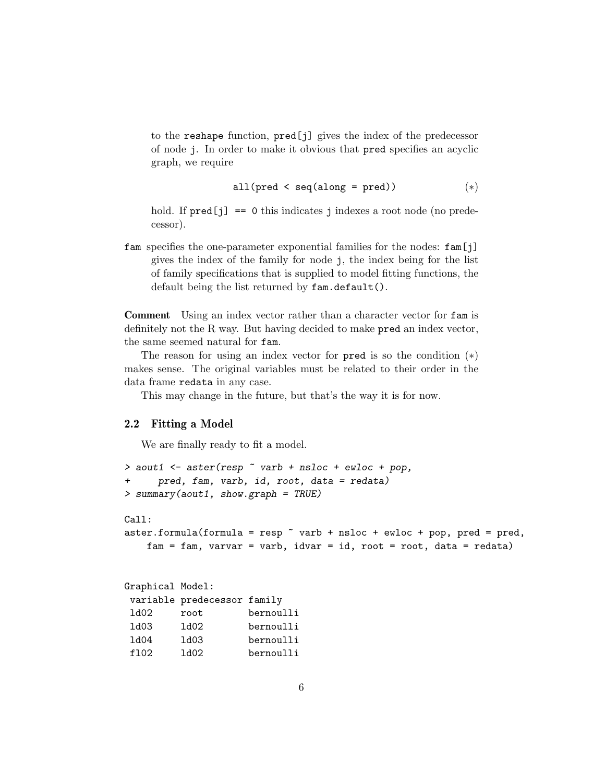to the reshape function, pred[j] gives the index of the predecessor of node j. In order to make it obvious that pred specifies an acyclic graph, we require

$$
all(pred < seq(along = pred))
$$
\n
$$
(*)
$$

hold. If  $pred[j] == 0$  this indicates j indexes a root node (no predecessor).

fam specifies the one-parameter exponential families for the nodes: fam[j] gives the index of the family for node j, the index being for the list of family specifications that is supplied to model fitting functions, the default being the list returned by fam.default().

Comment Using an index vector rather than a character vector for fam is definitely not the R way. But having decided to make pred an index vector, the same seemed natural for fam.

The reason for using an index vector for  $pred$  is so the condition  $(*)$ makes sense. The original variables must be related to their order in the data frame redata in any case.

This may change in the future, but that's the way it is for now.

### 2.2 Fitting a Model

We are finally ready to fit a model.

```
> aout1 <- aster(resp ~ varb + nsloc + ewloc + pop,
+ pred, fam, varb, id, root, data = redata)
> summary(aout1, show.graph = TRUE)
Call:
aster.formula(formula = resp \tilde{ } varb + nsloc + ewloc + pop, pred = pred,
   fam = fam, varvar = varb, idvar = id, root = root, data = redata)
Graphical Model:
variable predecessor family
ld02 root bernoulli
ld03 ld02 bernoulli
ld04 ld03 bernoulli
fl02 ld02 bernoulli
```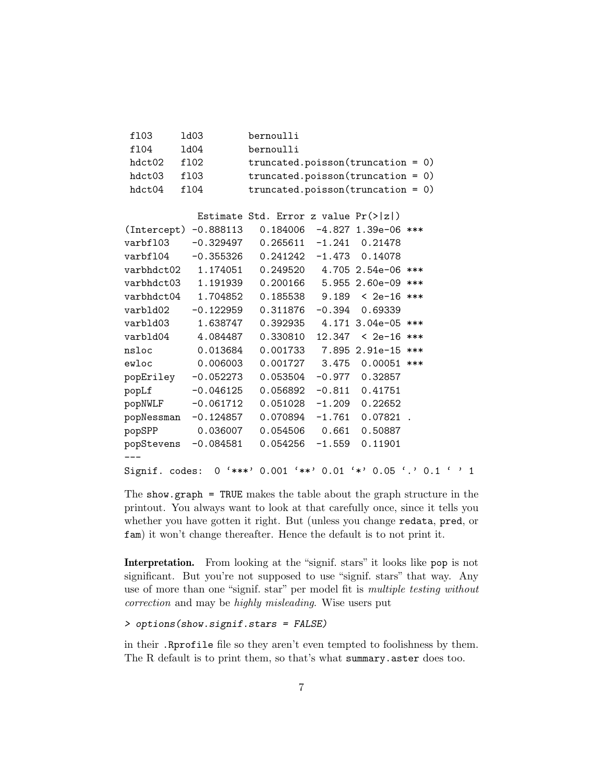| ⊥⊥∪⊖                                                             | ⊥u∪o                   | DETIIOATTI                                            |  |  |  |
|------------------------------------------------------------------|------------------------|-------------------------------------------------------|--|--|--|
| f104                                                             | 1d04                   | bernoulli                                             |  |  |  |
| hdct02                                                           | f102                   | $truncated.poisson(truncation = 0)$                   |  |  |  |
| hdct03                                                           | f103                   | $truncated.poisson(truncation = 0)$                   |  |  |  |
| hdct04<br>f104                                                   |                        | $truncated.poisson(truncation = 0)$                   |  |  |  |
|                                                                  |                        |                                                       |  |  |  |
|                                                                  |                        | Estimate Std. Error z value $Pr(>  z )$               |  |  |  |
|                                                                  | (Intercept) -0.888113  | $0.184006 - 4.827$ 1.39e-06 ***                       |  |  |  |
|                                                                  |                        | varbf103 -0.329497 0.265611 -1.241 0.21478            |  |  |  |
|                                                                  |                        | varbf104 -0.355326 0.241242 -1.473 0.14078            |  |  |  |
|                                                                  |                        | varbhdct02  1.174051  0.249520  4.705  2.54e-06 ***   |  |  |  |
|                                                                  | varbhdct03    1.191939 | $0.200166$ 5.955 2.60e-09 ***                         |  |  |  |
|                                                                  |                        | varbhdct04  1.704852  0.185538  9.189  < 2e-16 ***    |  |  |  |
| varbld02                                                         | -0.122959              | $0.311876 -0.394 0.69339$                             |  |  |  |
|                                                                  |                        | varbld03   1.638747   0.392935   4.171   3.04e-05 *** |  |  |  |
| varbld04                                                         | 4.084487               | 0.330810<br>$12.347 \div 2e-16$ ***                   |  |  |  |
| nsloc                                                            | 0.013684               | $0.001733$ 7.895 2.91e-15 ***                         |  |  |  |
|                                                                  | ewloc 0.006003         | $0.001727$ 3.475 0.00051 ***                          |  |  |  |
|                                                                  | popEriley -0.052273    | $0.053504 -0.977 0.32857$                             |  |  |  |
|                                                                  | popLf $-0.046125$      | $0.056892 -0.811 0.41751$                             |  |  |  |
|                                                                  | popNWLF -0.061712      | $0.051028 -1.209 0.22652$                             |  |  |  |
|                                                                  | popNessman -0.124857   | $0.070894 -1.761$<br>$0.07821$ .                      |  |  |  |
|                                                                  | popSPP 0.036007        | $0.054506$ 0.661<br>0.50887                           |  |  |  |
|                                                                  | popStevens -0.084581   | $0.054256 - 1.559$<br>0.11901                         |  |  |  |
|                                                                  |                        |                                                       |  |  |  |
| 0 '***' 0.001 '**' 0.01 '*' 0.05 '.' 0.1 ' ' 1<br>Signif. codes: |                        |                                                       |  |  |  |

The show.graph = TRUE makes the table about the graph structure in the printout. You always want to look at that carefully once, since it tells you whether you have gotten it right. But (unless you change redata, pred, or fam) it won't change thereafter. Hence the default is to not print it.

Interpretation. From looking at the "signif. stars" it looks like pop is not significant. But you're not supposed to use "signif. stars" that way. Any use of more than one "signif. star" per model fit is multiple testing without correction and may be highly misleading. Wise users put

> options(show.signif.stars = FALSE)

fl03 ld03 bernoulli

in their .Rprofile file so they aren't even tempted to foolishness by them. The R default is to print them, so that's what summary.aster does too.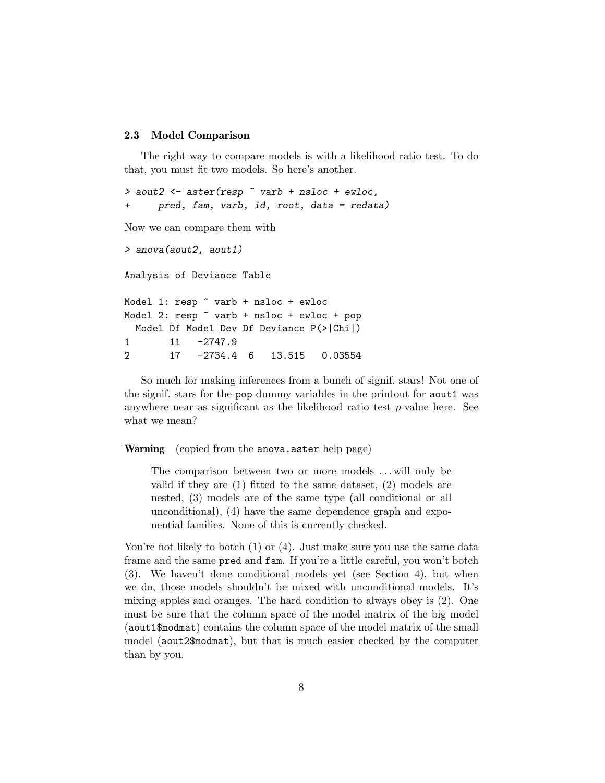#### 2.3 Model Comparison

The right way to compare models is with a likelihood ratio test. To do that, you must fit two models. So here's another.

```
> aout2 \leq aster(resp \sim varb + nsloc + ewloc,
+ pred, fam, varb, id, root, data = redata)
Now we can compare them with
> anova(aout2, aout1)
Analysis of Deviance Table
Model 1: resp \tilde{ } varb + nsloc + ewloc
Model 2: resp ~ varb + nsloc + ewloc + pop
  Model Df Model Dev Df Deviance P(>|Chi|)
1 11 -2747.9
2 17 -2734.4 6 13.515 0.03554
```
So much for making inferences from a bunch of signif. stars! Not one of the signif. stars for the pop dummy variables in the printout for aout1 was anywhere near as significant as the likelihood ratio test  $p$ -value here. See what we mean?

Warning (copied from the anova.aster help page)

The comparison between two or more models ... will only be valid if they are (1) fitted to the same dataset, (2) models are nested, (3) models are of the same type (all conditional or all unconditional), (4) have the same dependence graph and exponential families. None of this is currently checked.

You're not likely to botch (1) or (4). Just make sure you use the same data frame and the same pred and fam. If you're a little careful, you won't botch (3). We haven't done conditional models yet (see Section 4), but when we do, those models shouldn't be mixed with unconditional models. It's mixing apples and oranges. The hard condition to always obey is (2). One must be sure that the column space of the model matrix of the big model (aout1\$modmat) contains the column space of the model matrix of the small model (aout2\$modmat), but that is much easier checked by the computer than by you.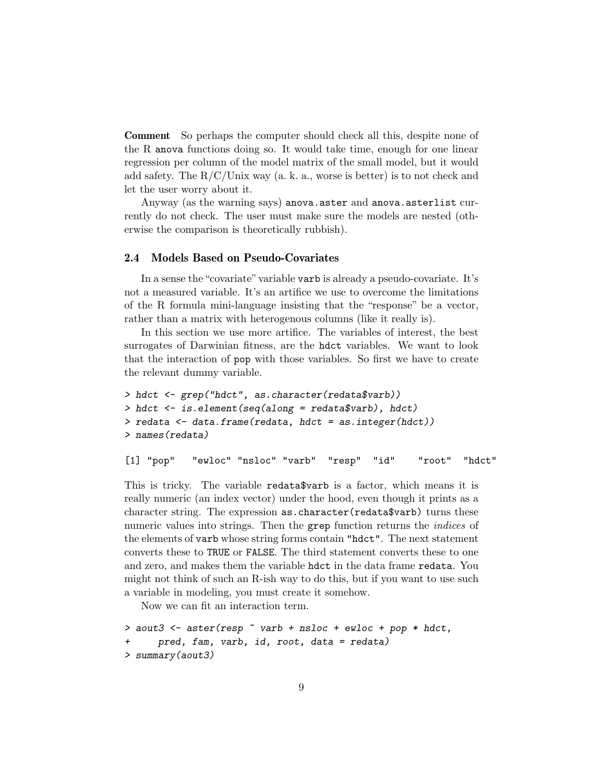Comment So perhaps the computer should check all this, despite none of the R anova functions doing so. It would take time, enough for one linear regression per column of the model matrix of the small model, but it would add safety. The  $R/C/$ Unix way (a. k. a., worse is better) is to not check and let the user worry about it.

Anyway (as the warning says) anova.aster and anova.asterlist currently do not check. The user must make sure the models are nested (otherwise the comparison is theoretically rubbish).

### 2.4 Models Based on Pseudo-Covariates

In a sense the "covariate" variable varb is already a pseudo-covariate. It's not a measured variable. It's an artifice we use to overcome the limitations of the R formula mini-language insisting that the "response" be a vector, rather than a matrix with heterogenous columns (like it really is).

In this section we use more artifice. The variables of interest, the best surrogates of Darwinian fitness, are the hdct variables. We want to look that the interaction of pop with those variables. So first we have to create the relevant dummy variable.

```
> hdct <- grep("hdct", as.character(redata$varb))
> hdct <- is.element(seq(along = redata$varb), hdct)
> redata <- data.frame(redata, hdct = as.integer(hdct))
> names(redata)
```
[1] "pop" "ewloc" "nsloc" "varb" "resp" "id" "root" "hdct"

This is tricky. The variable redata\$varb is a factor, which means it is really numeric (an index vector) under the hood, even though it prints as a character string. The expression as.character(redata\$varb) turns these numeric values into strings. Then the grep function returns the *indices* of the elements of varb whose string forms contain "hdct". The next statement converts these to TRUE or FALSE. The third statement converts these to one and zero, and makes them the variable hdct in the data frame redata. You might not think of such an R-ish way to do this, but if you want to use such a variable in modeling, you must create it somehow.

Now we can fit an interaction term.

```
> aout3 <- aster(resp \tilde{ } varb + nsloc + ewloc + pop * hdct,
      pred, fam, varb, id, root, data = redata)
> summary(aout3)
```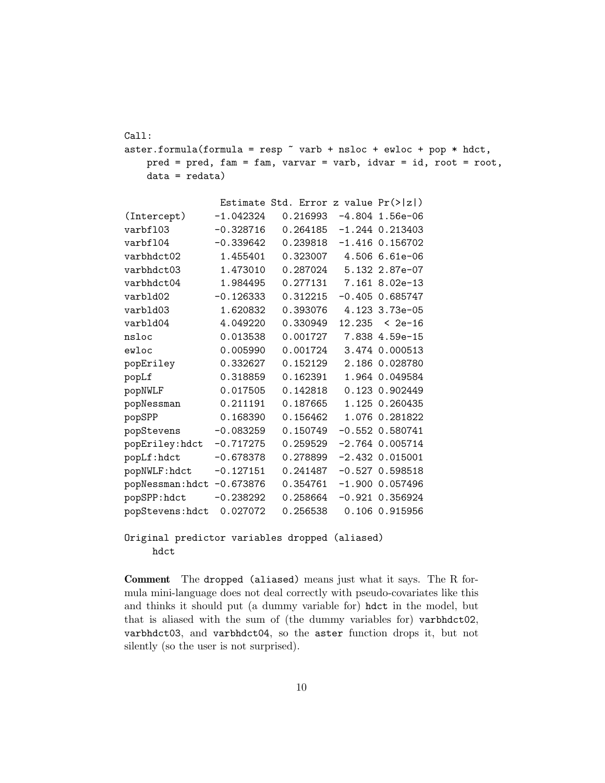Call: aster.formula(formula = resp  $\tilde{ }$  varb + nsloc + ewloc + pop \* hdct, pred = pred, fam = fam, varvar = varb, idvar = id, root = root, data = redata)

|                  |             | Estimate Std. Error z value $Pr(> z )$ |        |                     |
|------------------|-------------|----------------------------------------|--------|---------------------|
| (Intercept)      | $-1.042324$ | $0.216993 -4.804$ 1.56e-06             |        |                     |
| varbf103         | $-0.328716$ | 0.264185                               |        | $-1.244$ 0.213403   |
| varbf104         | $-0.339642$ | 0.239818                               |        | $-1.416$ 0.156702   |
| varbhdct02       | 1.455401    | 0.323007                               |        | 4.506 6.61e-06      |
| varbhdct03       | 1.473010    | 0.287024                               |        | 5.132 2.87e-07      |
| varbhdct04       | 1.984495    | 0.277131                               |        | 7.161 8.02e-13      |
| varbld02         | $-0.126333$ | 0.312215                               |        | $-0.405$ 0.685747   |
| varbld03         | 1.620832    | 0.393076                               |        | 4.123 3.73e-05      |
| varbld04         | 4.049220    | 0.330949                               | 12.235 | < 2e-16             |
| nsloc            | 0.013538    | 0.001727                               |        | 7.838 4.59e-15      |
| ewloc            | 0.005990    | 0.001724                               |        | 3.474 0.000513      |
| popEriley        | 0.332627    | 0.152129                               |        | 2.186 0.028780      |
| popLf            | 0.318859    | 0.162391                               |        | 1.964 0.049584      |
| popNWLF          | 0.017505    | 0.142818                               |        | 0.123 0.902449      |
| popNessman       | 0.211191    | 0.187665                               |        | 1.125 0.260435      |
| popSPP           | 0.168390    | 0.156462                               |        | 1.076 0.281822      |
| popStevens       | $-0.083259$ | 0.150749                               |        | $-0.552$ 0.580741   |
| popEriley:hdct   | $-0.717275$ | 0.259529                               |        | $-2.764$ 0.005714   |
| popLf:hdct       | $-0.678378$ | 0.278899                               |        | $-2.432$ 0.015001   |
| popNWLF:hdct     | $-0.127151$ | 0.241487                               |        | $-0.527$ 0.598518   |
| popNessman: hdct | $-0.673876$ | 0.354761                               |        | $-1.900$ 0.057496   |
| popSPP:hdct      | $-0.238292$ | 0.258664                               |        | $-0.921$ $0.356924$ |
| popStevens: hdct | 0.027072    | 0.256538                               |        | 0.106 0.915956      |
|                  |             |                                        |        |                     |

Original predictor variables dropped (aliased) hdct

Comment The dropped (aliased) means just what it says. The R formula mini-language does not deal correctly with pseudo-covariates like this and thinks it should put (a dummy variable for) hdct in the model, but that is aliased with the sum of (the dummy variables for) varbhdct02, varbhdct03, and varbhdct04, so the aster function drops it, but not silently (so the user is not surprised).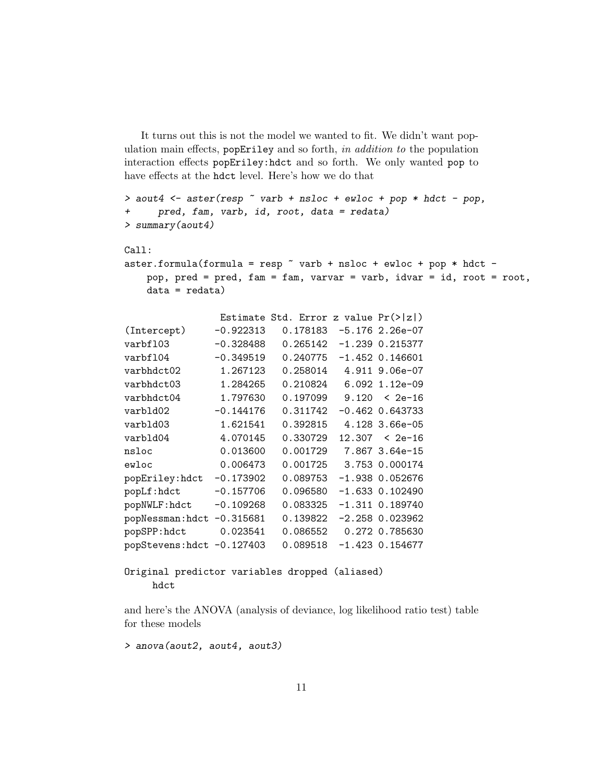It turns out this is not the model we wanted to fit. We didn't want population main effects,  $popEriley$  and so forth, in addition to the population interaction effects popEriley:hdct and so forth. We only wanted pop to have effects at the hdct level. Here's how we do that

```
> aout4 <- aster(resp \tilde{ } varb + nsloc + ewloc + pop * hdct - pop,
+ pred, fam, varb, id, root, data = redata)
> summary(aout4)
Call:
aster.formula(formula = resp \tilde{ } varb + nsloc + ewloc + pop * hdct -
   pop, pred = pred, fam = fam, varvar = varb, idvar = id, root = root,
   data = redata)Estimate Std. Error z value Pr(>|z|)
(Intercept) -0.922313 0.178183 -5.176 2.26e-07
varbfl03 -0.328488 0.265142 -1.239 0.215377
varbfl04 -0.349519 0.240775 -1.452 0.146601
varbhdct02 1.267123 0.258014 4.911 9.06e-07
varbhdct03 1.284265 0.210824 6.092 1.12e-09
varbhdct04 1.797630 0.197099 9.120 < 2e-16
varbld02 -0.144176 0.311742 -0.462 0.643733
varbld03 1.621541 0.392815 4.128 3.66e-05
varbld04 4.070145 0.330729 12.307 < 2e-16
nsloc 0.013600 0.001729 7.867 3.64e-15
ewloc 0.006473 0.001725 3.753 0.000174
popEriley:hdct -0.173902 0.089753 -1.938 0.052676
popLf:hdct -0.157706 0.096580 -1.633 0.102490
popNWLF:hdct -0.109268 0.083325 -1.311 0.189740
popNessman:hdct -0.315681 0.139822 -2.258 0.023962
popSPP:hdct 0.023541 0.086552 0.272 0.785630
popStevens:hdct -0.127403 0.089518 -1.423 0.154677
Original predictor variables dropped (aliased)
```
hdct

and here's the ANOVA (analysis of deviance, log likelihood ratio test) table for these models

> anova(aout2, aout4, aout3)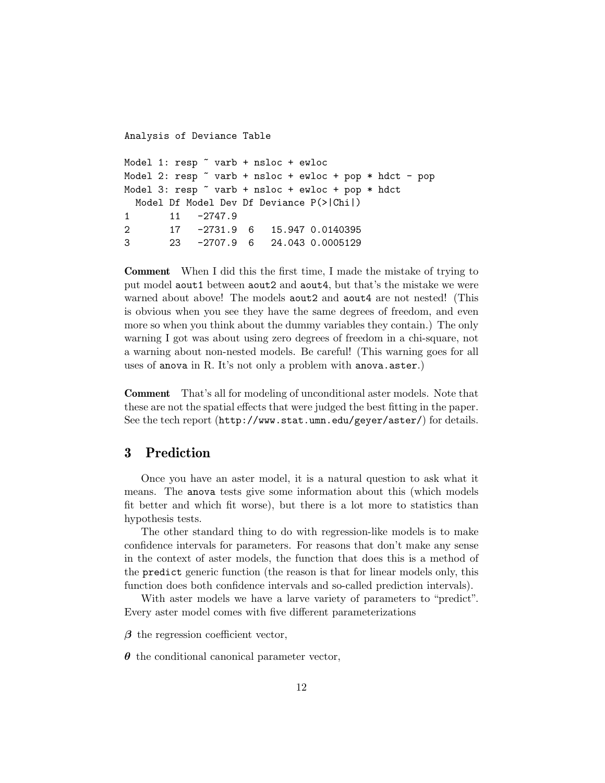```
Analysis of Deviance Table
Model 1: resp ~ varb + nsloc + ewloc
Model 2: resp \tilde{ } varb + nsloc + ewloc + pop * hdct - pop
Model 3: resp ~ varb + nsloc + ewloc + pop * hdct
 Model Df Model Dev Df Deviance P(>|Chi|)
1 11 -2747.9
2 17 -2731.9 6 15.947 0.0140395
3 23 -2707.9 6 24.043 0.0005129
```
Comment When I did this the first time, I made the mistake of trying to put model aout1 between aout2 and aout4, but that's the mistake we were warned about above! The models **aout2** and **aout4** are not nested! (This is obvious when you see they have the same degrees of freedom, and even more so when you think about the dummy variables they contain.) The only warning I got was about using zero degrees of freedom in a chi-square, not a warning about non-nested models. Be careful! (This warning goes for all uses of anova in R. It's not only a problem with anova.aster.)

Comment That's all for modeling of unconditional aster models. Note that these are not the spatial effects that were judged the best fitting in the paper. See the tech report (http://www.stat.umn.edu/geyer/aster/) for details.

## 3 Prediction

Once you have an aster model, it is a natural question to ask what it means. The anova tests give some information about this (which models fit better and which fit worse), but there is a lot more to statistics than hypothesis tests.

The other standard thing to do with regression-like models is to make confidence intervals for parameters. For reasons that don't make any sense in the context of aster models, the function that does this is a method of the predict generic function (the reason is that for linear models only, this function does both confidence intervals and so-called prediction intervals).

With aster models we have a larve variety of parameters to "predict". Every aster model comes with five different parameterizations

 $\beta$  the regression coefficient vector,

 $\theta$  the conditional canonical parameter vector,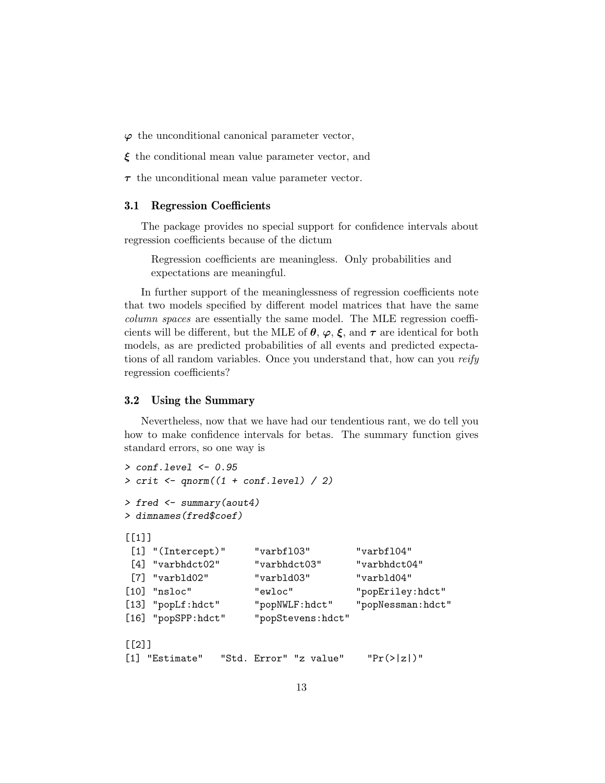$\varphi$  the unconditional canonical parameter vector,

- $\xi$  the conditional mean value parameter vector, and
- $\tau$  the unconditional mean value parameter vector.

#### 3.1 Regression Coefficients

The package provides no special support for confidence intervals about regression coefficients because of the dictum

Regression coefficients are meaningless. Only probabilities and expectations are meaningful.

In further support of the meaninglessness of regression coefficients note that two models specified by different model matrices that have the same column spaces are essentially the same model. The MLE regression coefficients will be different, but the MLE of  $\theta$ ,  $\varphi$ ,  $\xi$ , and  $\tau$  are identical for both models, as are predicted probabilities of all events and predicted expectations of all random variables. Once you understand that, how can you reify regression coefficients?

#### 3.2 Using the Summary

Nevertheless, now that we have had our tendentious rant, we do tell you how to make confidence intervals for betas. The summary function gives standard errors, so one way is

```
> conf.level <- 0.95
> crit <- qnorm((1 + conf.length) / 2)> fred <- summary(aout4)
> dimnames(fred$coef)
[1][1] "(Intercept)" "varbfl03" "varbfl04"
 [4] "varbhdct02" "varbhdct03" "varbhdct04"
 [7] "varbld02" "varbld03" "varbld04"
[10] "nsloc" "ewloc" "popEriley:hdct"
[13] "popLf:hdct" "popNWLF:hdct" "popNessman:hdct"
[16] "popSPP:hdct" "popStevens:hdct"
\lceil[2]]
[1] "Estimate" "Std. Error" "z value" "Pr(>|z|)"
```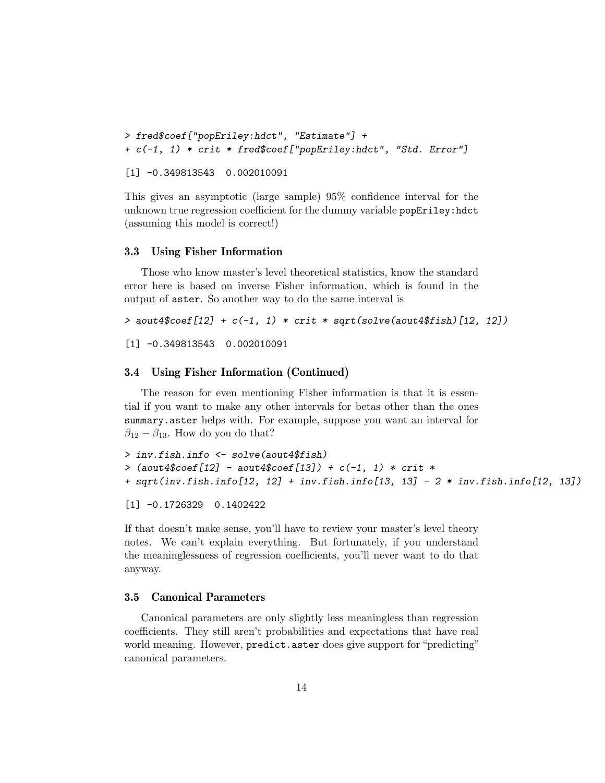```
> fred$coef["popEriley:hdct", "Estimate"] +
+ c(-1, 1) * crit * fred$coef["popEriley:hdct", "Std. Error"]
[1] -0.349813543 0.002010091
```
This gives an asymptotic (large sample) 95% confidence interval for the unknown true regression coefficient for the dummy variable popEriley:hdct (assuming this model is correct!)

#### 3.3 Using Fisher Information

Those who know master's level theoretical statistics, know the standard error here is based on inverse Fisher information, which is found in the output of aster. So another way to do the same interval is

```
> aout4$coef[12] + c(-1, 1) * crit * sqrt(solve(aout4$fish)[12, 12])
```
[1] -0.349813543 0.002010091

### 3.4 Using Fisher Information (Continued)

The reason for even mentioning Fisher information is that it is essential if you want to make any other intervals for betas other than the ones summary.aster helps with. For example, suppose you want an interval for  $\beta_{12} - \beta_{13}$ . How do you do that?

```
> inv.fish.info <- solve(aout4$fish)
> (aout4$coef[12] - aout4$coef[13]) + c(-1, 1) * crit *
+ sqrt(inv.fish.info[12, 12] + inv.fish.info[13, 13] - 2 * inv.fish.info[12, 13])
```
[1] -0.1726329 0.1402422

If that doesn't make sense, you'll have to review your master's level theory notes. We can't explain everything. But fortunately, if you understand the meaninglessness of regression coefficients, you'll never want to do that anyway.

### 3.5 Canonical Parameters

Canonical parameters are only slightly less meaningless than regression coefficients. They still aren't probabilities and expectations that have real world meaning. However, predict.aster does give support for "predicting" canonical parameters.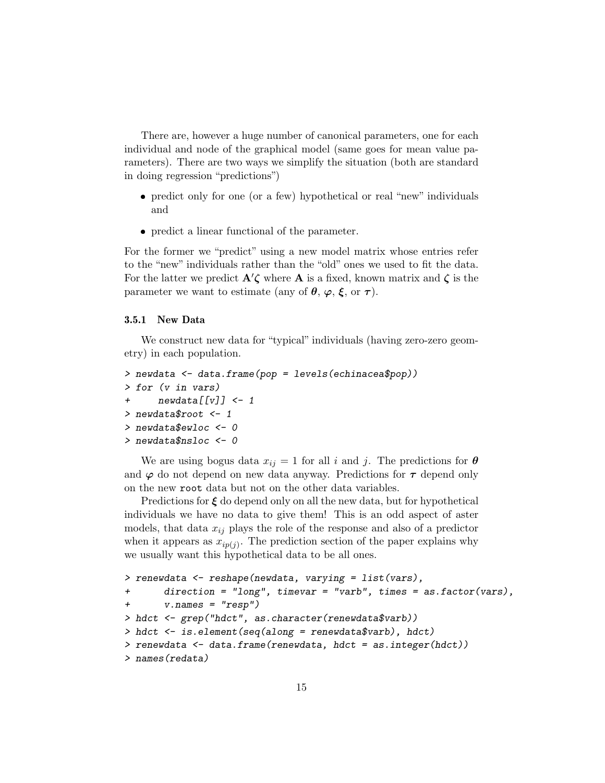There are, however a huge number of canonical parameters, one for each individual and node of the graphical model (same goes for mean value parameters). There are two ways we simplify the situation (both are standard in doing regression "predictions")

- predict only for one (or a few) hypothetical or real "new" individuals and
- predict a linear functional of the parameter.

For the former we "predict" using a new model matrix whose entries refer to the "new" individuals rather than the "old" ones we used to fit the data. For the latter we predict  $\mathbf{A}'\mathbf{\zeta}$  where  $\mathbf{A}$  is a fixed, known matrix and  $\mathbf{\zeta}$  is the parameter we want to estimate (any of  $\theta$ ,  $\varphi$ ,  $\xi$ , or  $\tau$ ).

#### 3.5.1 New Data

We construct new data for "typical" individuals (having zero-zero geometry) in each population.

```
> newdata <- data.frame(pop = levels(echinacea$pop))
> for (v in vars)
+ newdata[[v]] <- 1
> newdata$root <- 1
> newdata$ewloc <- 0
> newdata$nsloc <- 0
```
We are using bogus data  $x_{ij} = 1$  for all i and j. The predictions for  $\boldsymbol{\theta}$ and  $\varphi$  do not depend on new data anyway. Predictions for  $\tau$  depend only on the new root data but not on the other data variables.

Predictions for  $\xi$  do depend only on all the new data, but for hypothetical individuals we have no data to give them! This is an odd aspect of aster models, that data  $x_{ij}$  plays the role of the response and also of a predictor when it appears as  $x_{ip(j)}$ . The prediction section of the paper explains why we usually want this hypothetical data to be all ones.

```
> renewdata <- reshape(newdata, varying = list(vars),
+ direction = "long", timevar = "varb", times = as.factor(vars),
      v.name = "resp")> hdct <- grep("hdct", as.character(renewdata$varb))
> hdct <- is.element(seq(along = renewdata$varb), hdct)
> renewdata <- data.frame(renewdata, hdct = as.integer(hdct))
> names(redata)
```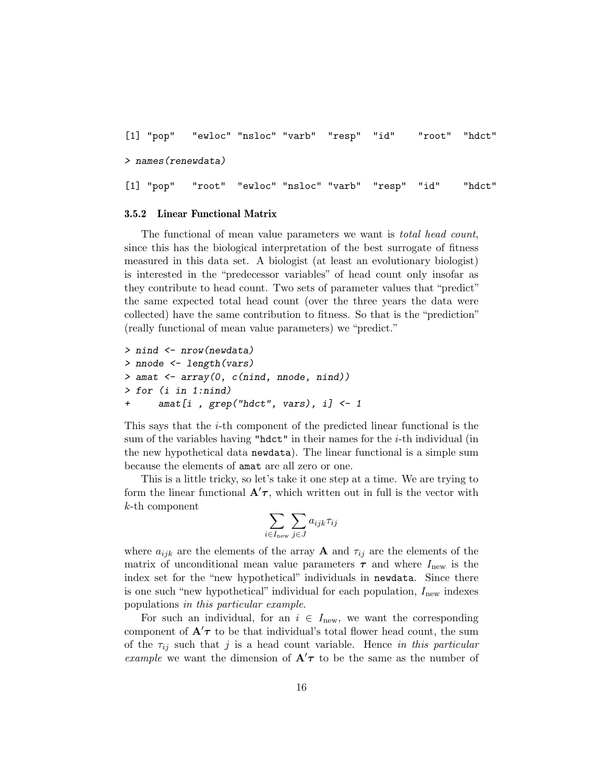```
[1] "pop" "ewloc" "nsloc" "varb" "resp" "id" "root" "hdct"
> names(renewdata)
[1] "pop" "root" "ewloc" "nsloc" "varb" "resp" "id" "hdct"
```
#### 3.5.2 Linear Functional Matrix

The functional of mean value parameters we want is *total head count*, since this has the biological interpretation of the best surrogate of fitness measured in this data set. A biologist (at least an evolutionary biologist) is interested in the "predecessor variables" of head count only insofar as they contribute to head count. Two sets of parameter values that "predict" the same expected total head count (over the three years the data were collected) have the same contribution to fitness. So that is the "prediction" (really functional of mean value parameters) we "predict."

```
> nind <- nrow(newdata)
> nnode <- length(vars)
> amat <- array(0, c(nind, nnode, nind))
> for (i in 1:nind)
+ amat[i , grep("hdct", vars), i] <- 1
```
This says that the i-th component of the predicted linear functional is the sum of the variables having " $hdct$ " in their names for the *i*-th individual (in the new hypothetical data newdata). The linear functional is a simple sum because the elements of amat are all zero or one.

This is a little tricky, so let's take it one step at a time. We are trying to form the linear functional  $\mathbf{A}'\tau$ , which written out in full is the vector with k-th component

$$
\sum_{i\in I_{\text{new}}} \sum_{j\in J} a_{ijk} \tau_{ij}
$$

where  $a_{ijk}$  are the elements of the array **A** and  $\tau_{ij}$  are the elements of the matrix of unconditional mean value parameters  $\tau$  and where  $I_{\text{new}}$  is the index set for the "new hypothetical" individuals in newdata. Since there is one such "new hypothetical" individual for each population,  $I_{\text{new}}$  indexes populations in this particular example.

For such an individual, for an  $i \in I_{\text{new}}$ , we want the corresponding component of  $\mathbf{A}'\tau$  to be that individual's total flower head count, the sum of the  $\tau_{ij}$  such that j is a head count variable. Hence in this particular example we want the dimension of  $\mathbf{A}'\tau$  to be the same as the number of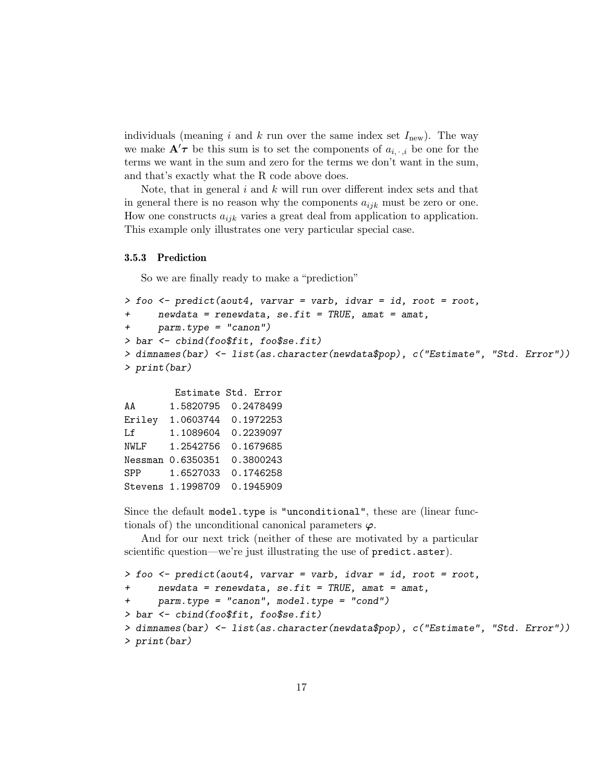individuals (meaning i and k run over the same index set  $I_{\text{new}}$ ). The way we make  $\mathbf{A}'\boldsymbol{\tau}$  be this sum is to set the components of  $a_{i, \cdot, i}$  be one for the terms we want in the sum and zero for the terms we don't want in the sum, and that's exactly what the R code above does.

Note, that in general  $i$  and  $k$  will run over different index sets and that in general there is no reason why the components  $a_{ijk}$  must be zero or one. How one constructs  $a_{ijk}$  varies a great deal from application to application. This example only illustrates one very particular special case.

#### 3.5.3 Prediction

So we are finally ready to make a "prediction"

```
> foo \le predict(aout4, varvar = varb, idvar = id, root = root,
     newdata = renewdata, se.fit = TRUE, amat = amat,
+ parm.type = "canon")
> bar <- cbind(foo$fit, foo$se.fit)
> dimnames(bar) <- list(as.character(newdata$pop), c("Estimate", "Std. Error"))
> print(bar)
```

```
Estimate Std. Error
AA 1.5820795 0.2478499
Eriley 1.0603744 0.1972253
Lf 1.1089604 0.2239097
NWLF 1.2542756 0.1679685
Nessman 0.6350351 0.3800243
SPP 1.6527033 0.1746258
Stevens 1.1998709 0.1945909
```
Since the default model.type is "unconditional", these are (linear functionals of) the unconditional canonical parameters  $\varphi$ .

And for our next trick (neither of these are motivated by a particular scientific question—we're just illustrating the use of predict.aster).

```
> foo \le predict(aout4, varvar = varb, idvar = id, root = root,
+ newdata = renewdata, se.fit = TRUE, amat = amat,
+ parm.type = "canon", model.type = "cond")
> bar <- cbind(foo$fit, foo$se.fit)
> dimnames(bar) <- list(as.character(newdata$pop), c("Estimate", "Std. Error"))
> print(bar)
```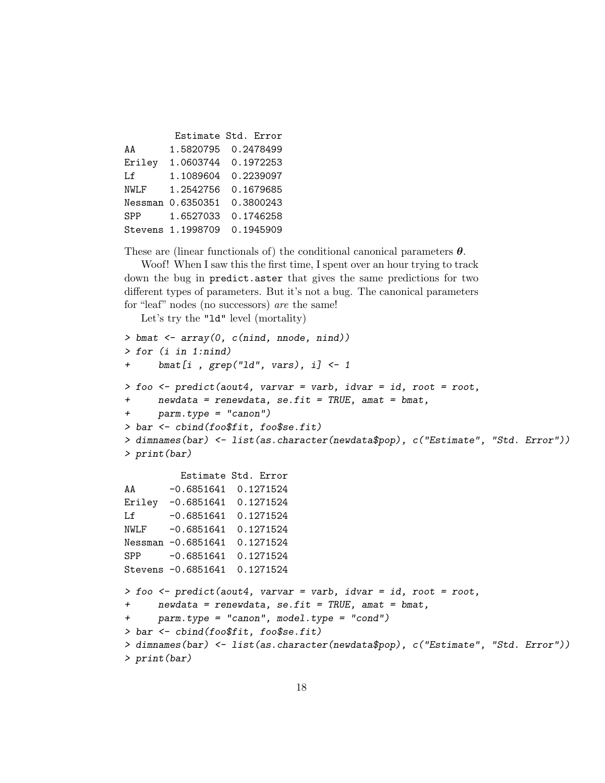|                   | Estimate Std. Error |
|-------------------|---------------------|
| 1.5820795         | 0.2478499           |
| 1.0603744         | 0.1972253           |
| 1.1089604         | 0.2239097           |
| 1.2542756         | 0.1679685           |
| Nessman 0.6350351 | 0.3800243           |
| 1.6527033         | 0.1746258           |
| Stevens 1.1998709 | 0.1945909           |
|                   |                     |

These are (linear functionals of) the conditional canonical parameters  $\theta$ .

Woof! When I saw this the first time, I spent over an hour trying to track down the bug in predict.aster that gives the same predictions for two different types of parameters. But it's not a bug. The canonical parameters for "leaf" nodes (no successors) are the same!

Let's try the "ld" level (mortality)

```
> bmat \leq array(0, c(nind, nnode, nind))
> for (i in 1:nind)
+ bmat[i , grep("ld", vars), i] <- 1
> foo <- predict(aout4, varvar = varb, idvar = id, root = root,
+ newdata = renewdata, se.fit = TRUE, amat = bmat,
+ parm.type = "canon")
> bar <- cbind(foo$fit, foo$se.fit)
> dimnames(bar) <- list(as.character(newdata$pop), c("Estimate", "Std. Error"))
> print(bar)
         Estimate Std. Error
AA -0.6851641 0.1271524
Eriley -0.6851641 0.1271524
Lf -0.6851641 0.1271524
NWLF -0.6851641 0.1271524
Nessman -0.6851641 0.1271524
SPP -0.6851641 0.1271524
Stevens -0.6851641 0.1271524
> foo \le predict(aout4, varvar = varb, idvar = id, root = root,
+ newdata = renewdata, se.fit = TRUE, amat = bmat,
+ parm.type = "canon", model.type = "cond")
> bar <- cbind(foo$fit, foo$se.fit)
> dimnames(bar) <- list(as.character(newdata$pop), c("Estimate", "Std. Error"))
> print(bar)
```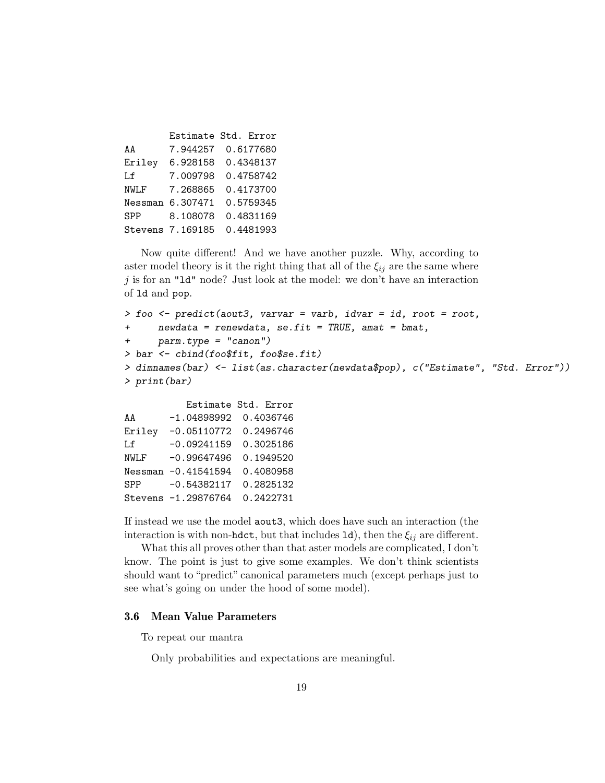|            |                  | Estimate Std. Error |
|------------|------------------|---------------------|
| AA         | 7.944257         | 0.6177680           |
| Eriley     | 6.928158         | 0.4348137           |
| Lf         | 7.009798         | 0.4758742           |
| NWLF       | 7.268865         | 0.4173700           |
|            | Nessman 6.307471 | 0.5759345           |
| <b>SPP</b> | 8.108078         | 0.4831169           |
|            | Stevens 7.169185 | 0.4481993           |

Now quite different! And we have another puzzle. Why, according to aster model theory is it the right thing that all of the  $\xi_{ij}$  are the same where  $j$  is for an "1d" node? Just look at the model: we don't have an interaction of ld and pop.

```
> foo <- predict(aout3, varvar = varb, idvar = id, root = root,
+ newdata = renewdata, se.fit = TRUE, amat = bmat,
+ parm.type = "canon")
> bar <- cbind(foo$fit, foo$se.fit)
> dimnames(bar) <- list(as.character(newdata$pop), c("Estimate", "Std. Error"))
> print(bar)
          Estimate Std. Error
```
AA -1.04898992 0.4036746 Eriley -0.05110772 0.2496746 Lf -0.09241159 0.3025186 NWLF -0.99647496 0.1949520 Nessman -0.41541594 0.4080958 SPP -0.54382117 0.2825132 Stevens -1.29876764 0.2422731

If instead we use the model aout3, which does have such an interaction (the interaction is with non-hdct, but that includes  $Id$ ), then the  $\xi_{ij}$  are different.

What this all proves other than that aster models are complicated, I don't know. The point is just to give some examples. We don't think scientists should want to "predict" canonical parameters much (except perhaps just to see what's going on under the hood of some model).

#### 3.6 Mean Value Parameters

To repeat our mantra

Only probabilities and expectations are meaningful.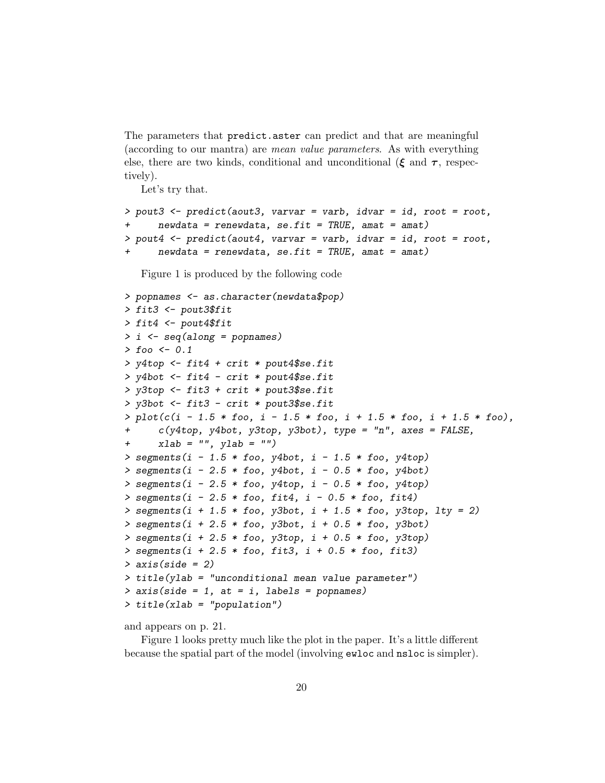The parameters that predict.aster can predict and that are meaningful (according to our mantra) are mean value parameters. As with everything else, there are two kinds, conditional and unconditional ( $\xi$  and  $\tau$ , respectively).

Let's try that.

```
> pout3 <- predict(aout3, varvar = varb, idvar = id, root = root,
     newdata = renewal, se.fit = TRUE, amat = amat)> pout4 <- predict(aout4, varvar = varb, idvar = id, root = root,
     newdata = renewal, se.fit = TRUE, amat = amat)
```
Figure 1 is produced by the following code

```
> popnames <- as.character(newdata$pop)
> fit3 <- pout3$fit
> fit4 <- pout4$fit
> i <- seq(along = popnames)
> f_{OO} <- 0.1
> y4top <- fit4 + crit * pout4$se.fit
> y4bot <- fit4 - crit * pout4$se.fit
> y3top <- fit3 + crit * pout3$se.fit
> y3bot <- fit3 - crit * pout3$se.fit
> plot(c(i - 1.5 * foo, i - 1.5 * foo, i + 1.5 * foo, i + 1.5 * foo),c(y4top, y4bot, y3top, y3bot), type = "n", axes = FALSE,
+ xlab = "", ylab = "")> segments(i - 1.5 * foo, y4bot, i - 1.5 * foo, y4top)
> segments(i - 2.5 * foo, y4bot, i - 0.5 * foo, y4bot)
> segments(i - 2.5 * foo, y4top, i - 0.5 * foo, y4top)
> segments(i - 2.5 * foo, fit4, i - 0.5 * foo, fit4)
> segments(i + 1.5 * foo, y3bot, i + 1.5 * foo, y3top, lty = 2)
> segments(i + 2.5 * foo, y3bot, i + 0.5 * foo, y3bot)
> segments(i + 2.5 * foo, y3top, i + 0.5 * foo, y3top)
> segments(i + 2.5 * foo, fit3, i + 0.5 * foo, fit3)
> axis(side = 2)> title(ylab = "unconditional mean value parameter")
> axis(side = 1, at = i, labels = popnames)> title(xlab = "population")
```
and appears on p. 21.

Figure 1 looks pretty much like the plot in the paper. It's a little different because the spatial part of the model (involving ewloc and nsloc is simpler).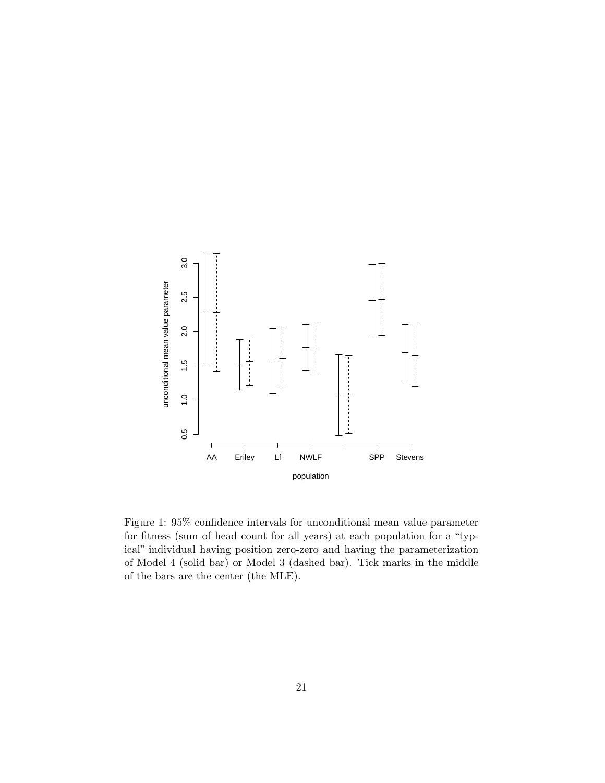

Figure 1: 95% confidence intervals for unconditional mean value parameter for fitness (sum of head count for all years) at each population for a "typical" individual having position zero-zero and having the parameterization of Model 4 (solid bar) or Model 3 (dashed bar). Tick marks in the middle of the bars are the center (the MLE).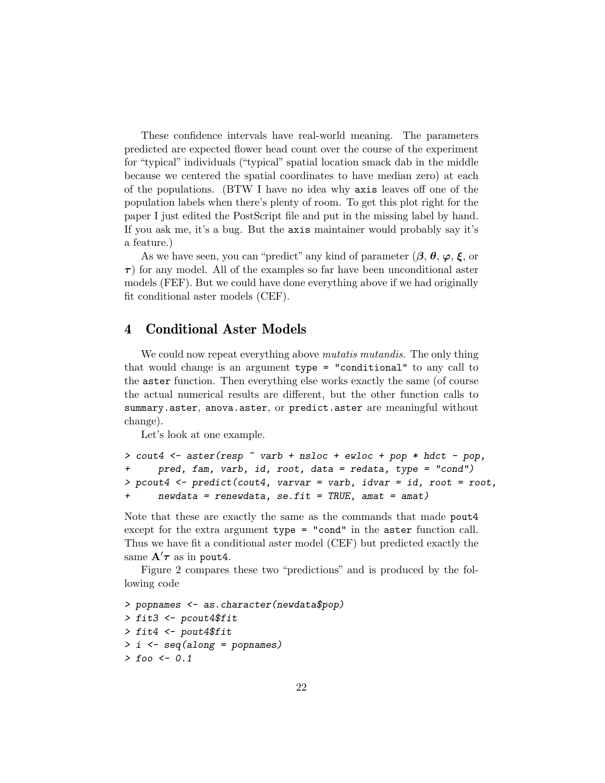These confidence intervals have real-world meaning. The parameters predicted are expected flower head count over the course of the experiment for "typical" individuals ("typical" spatial location smack dab in the middle because we centered the spatial coordinates to have median zero) at each of the populations. (BTW I have no idea why axis leaves off one of the population labels when there's plenty of room. To get this plot right for the paper I just edited the PostScript file and put in the missing label by hand. If you ask me, it's a bug. But the axis maintainer would probably say it's a feature.)

As we have seen, you can "predict" any kind of parameter  $(\beta, \theta, \varphi, \xi)$  or  $\tau$ ) for any model. All of the examples so far have been unconditional aster models (FEF). But we could have done everything above if we had originally fit conditional aster models (CEF).

### 4 Conditional Aster Models

We could now repeat everything above *mutatis mutandis*. The only thing that would change is an argument type = "conditional" to any call to the aster function. Then everything else works exactly the same (of course the actual numerical results are different, but the other function calls to summary.aster, anova.aster, or predict.aster are meaningful without change).

Let's look at one example.

```
> cout4 <- aster(resp \tilde{ } varb + nsloc + ewloc + pop * hdct - pop,
+ pred, fam, varb, id, root, data = redata, type = "cond")
> pcout4 <- predict(cout4, varvar = varb, idvar = id, root = root,
+ newdata = renewdata, se.fit = TRUE, amat = amat)
```
Note that these are exactly the same as the commands that made pout4 except for the extra argument type = "cond" in the aster function call. Thus we have fit a conditional aster model (CEF) but predicted exactly the same  $A'\tau$  as in pout 4.

Figure 2 compares these two "predictions" and is produced by the following code

```
> popnames <- as.character(newdata$pop)
> fit3 <- pcout4$fit
> fit4 <- pout4$fit
> i <- seq(along = popnames)
> foo \leftarrow 0.1
```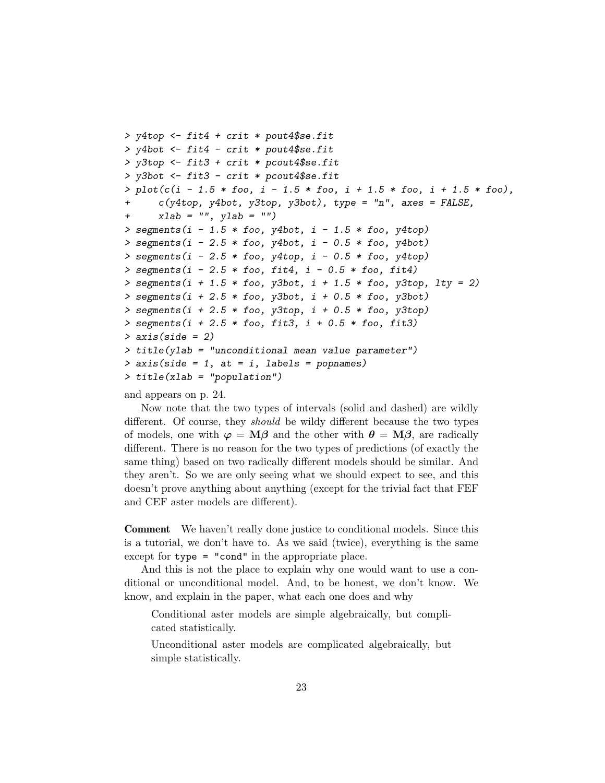```
> y4top <- fit4 + crit * pout4$se.fit
> y4bot <- fit4 - crit * pout4$se.fit
> y3top <- fit3 + crit * pcout4$se.fit
> y3bot <- fit3 - crit * pcout4$se.fit
> plot(c(i - 1.5 * foo, i - 1.5 * foo, i + 1.5 * foo, i + 1.5 * foo),c(y4top, y4bot, y3top, y3bot), type = "n", axes = FALSE,
+ xlab = "", ylab = "")> segments(i - 1.5 * foo, y4bot, i - 1.5 * foo, y4top)
> segments(i - 2.5 * foo, y4bot, i - 0.5 * foo, y4bot)
> segments(i - 2.5 * foo, y4top, i - 0.5 * foo, y4top)
> segments(i - 2.5 * foo, fit4, i - 0.5 * foo, fit4)
> segments(i + 1.5 * foo, y3bot, i + 1.5 * foo, y3top, lty = 2)
> segments(i + 2.5 * foo, y3bot, i + 0.5 * foo, y3bot)
> segments(i + 2.5 * foo, y3top, i + 0.5 * foo, y3top)
> segments(i + 2.5 * foo, fit3, i + 0.5 * foo, fit3)
> axis(side = 2)> title(ylab = "unconditional mean value parameter")
> axis(side = 1, at = i, labels = popnames)> title(xlab = "population")
```
and appears on p. 24.

Now note that the two types of intervals (solid and dashed) are wildly different. Of course, they should be wildy different because the two types of models, one with  $\varphi = M\beta$  and the other with  $\theta = M\beta$ , are radically different. There is no reason for the two types of predictions (of exactly the same thing) based on two radically different models should be similar. And they aren't. So we are only seeing what we should expect to see, and this doesn't prove anything about anything (except for the trivial fact that FEF and CEF aster models are different).

Comment We haven't really done justice to conditional models. Since this is a tutorial, we don't have to. As we said (twice), everything is the same except for type = "cond" in the appropriate place.

And this is not the place to explain why one would want to use a conditional or unconditional model. And, to be honest, we don't know. We know, and explain in the paper, what each one does and why

Conditional aster models are simple algebraically, but complicated statistically.

Unconditional aster models are complicated algebraically, but simple statistically.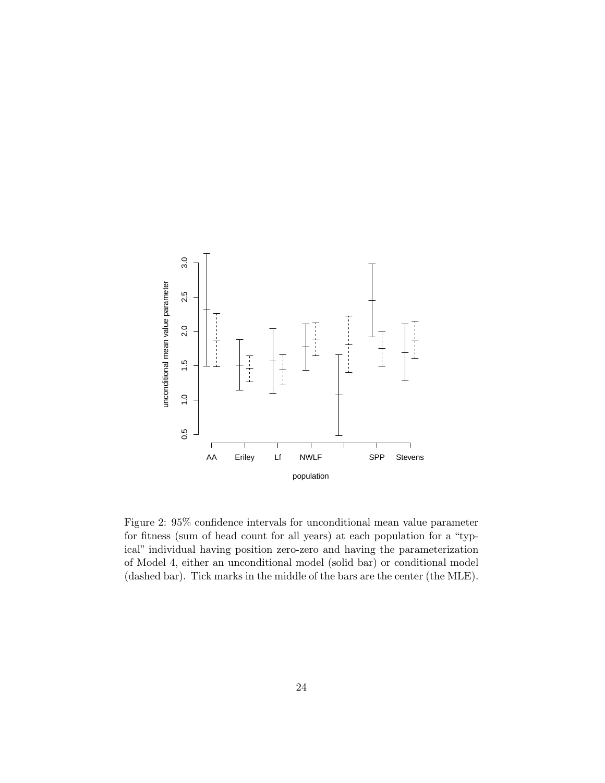

Figure 2: 95% confidence intervals for unconditional mean value parameter for fitness (sum of head count for all years) at each population for a "typical" individual having position zero-zero and having the parameterization of Model 4, either an unconditional model (solid bar) or conditional model (dashed bar). Tick marks in the middle of the bars are the center (the MLE).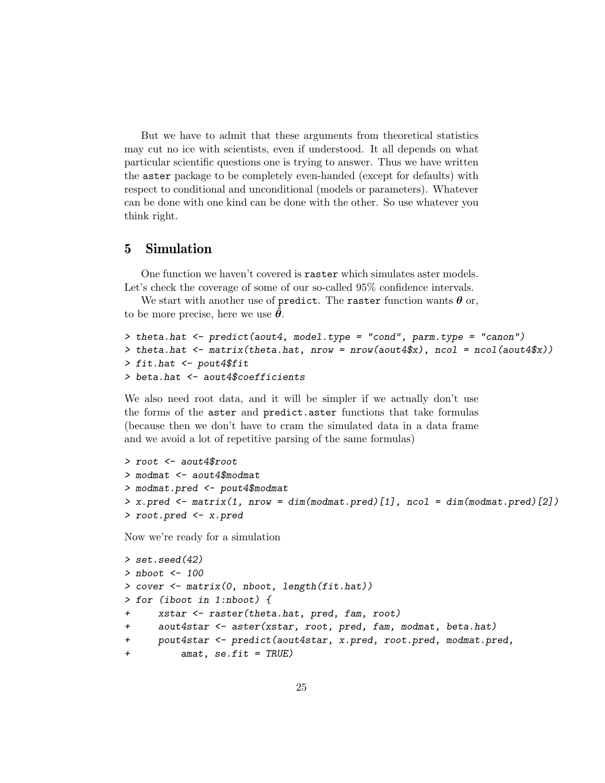But we have to admit that these arguments from theoretical statistics may cut no ice with scientists, even if understood. It all depends on what particular scientific questions one is trying to answer. Thus we have written the aster package to be completely even-handed (except for defaults) with respect to conditional and unconditional (models or parameters). Whatever can be done with one kind can be done with the other. So use whatever you think right.

## 5 Simulation

One function we haven't covered is raster which simulates aster models. Let's check the coverage of some of our so-called  $95\%$  confidence intervals.

We start with another use of predict. The raster function wants  $\boldsymbol{\theta}$  or, to be more precise, here we use  $\theta$ .

```
> theta.hat <- predict(aout4, model.type = "cond", parm.type = "canon")
> theta.hat \leq matrix(theta.hat, nrow = nrow(aout4$x), ncol = ncol(aout4$x))
> fit.hat <- pout4$fit
> beta.hat <- aout4$coefficients
```
We also need root data, and it will be simpler if we actually don't use the forms of the aster and predict.aster functions that take formulas (because then we don't have to cram the simulated data in a data frame and we avoid a lot of repetitive parsing of the same formulas)

```
> root <- aout4$root
> modmat <- aout4$modmat
> modmat.pred <- pout4$modmat
> x. pred < - matrix(1, nrow = dim(modmat.pred)[1], ncol = dim(modmat.pred)[2])> root.pred <- x.pred
```
Now we're ready for a simulation

```
> set.seed(42)
> nboot <-100> cover <- matrix(0, nboot, length(fit.hat))
> for (iboot in 1:nboot) {
+ xstar <- raster(theta.hat, pred, fam, root)
+ aout4star <- aster(xstar, root, pred, fam, modmat, beta.hat)
+ pout4star <- predict(aout4star, x.pred, root.pred, modmat.pred,
+ amat, se.fit = TRUE)
```